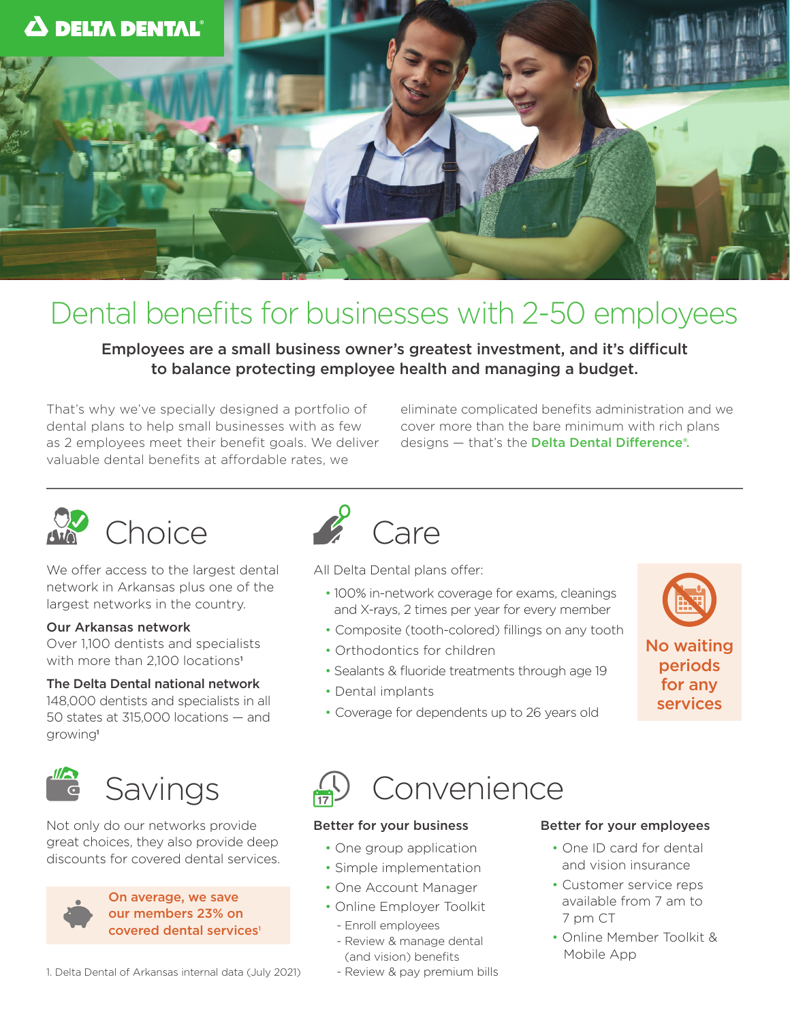

## Dental benefits for businesses with 2-50 employees

Employees are a small business owner's greatest investment, and it's difficult to balance protecting employee health and managing a budget.

That's why we've specially designed a portfolio of dental plans to help small businesses with as few as 2 employees meet their benefit goals. We deliver valuable dental benefits at affordable rates, we

eliminate complicated benefits administration and we cover more than the bare minimum with rich plans designs — that's the Delta Dental Difference®.





We offer access to the largest dental network in Arkansas plus one of the largest networks in the country.

#### Our Arkansas network

Over 1,100 dentists and specialists with more than 2,100 locations<sup>1</sup>

#### The Delta Dental national network

148,000 dentists and specialists in all 50 states at 315,000 locations — and growing<sup>1</sup>



Not only do our networks provide great choices, they also provide deep discounts for covered dental services.



On average, we save our members 23% on covered dental services<sup>1</sup>



All Delta Dental plans offer:

- 100% in-network coverage for exams, cleanings and X-rays, 2 times per year for every member
- Composite (tooth-colored) fillings on any tooth
- Orthodontics for children
- Sealants & fluoride treatments through age 19
- Dental implants



services

• Coverage for dependents up to 26 years old

# Savings (V Convenience

#### Better for your business

- One group application
- Simple implementation
- One Account Manager
- Online Employer Toolkit
- Enroll employees
- Review & manage dental (and vision) benefits
- Review & pay premium bills

#### Better for your employees

- One ID card for dental and vision insurance
- Customer service reps available from 7 am to 7 pm CT
- Online Member Toolkit & Mobile App